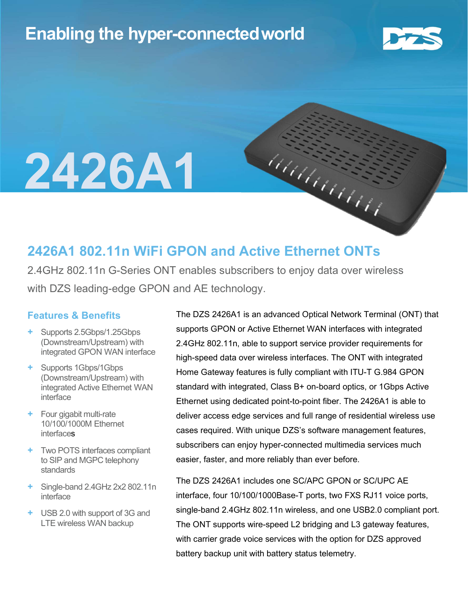### Enabling the hyper-connectedworld



# 2426A1

### 2426A1 802.11n WiFi GPON and Active Ethernet ONTs

2.4GHz 802.11n G-Series ONT enables subscribers to enjoy data over wireless with DZS leading-edge GPON and AE technology.

#### Features & Benefits

- + Supports 2.5Gbps/1.25Gbps (Downstream/Upstream) with integrated GPON WAN interface
- + Supports 1Gbps/1Gbps (Downstream/Upstream) with integrated Active Ethernet WAN interface
- + Four gigabit multi-rate 10/100/1000M Ethernet interfaces
- + Two POTS interfaces compliant to SIP and MGPC telephony standards
- + Single-band 2.4GHz 2x2 802.11n interface
- + USB 2.0 with support of 3G and LTE wireless WAN backup

The DZS 2426A1 is an advanced Optical Network Terminal (ONT) that supports GPON or Active Ethernet WAN interfaces with integrated 2.4GHz 802.11n, able to support service provider requirements for high-speed data over wireless interfaces. The ONT with integrated Home Gateway features is fully compliant with ITU-T G.984 GPON standard with integrated, Class B+ on-board optics, or 1Gbps Active Ethernet using dedicated point-to-point fiber. The 2426A1 is able to deliver access edge services and full range of residential wireless use cases required. With unique DZS's software management features, subscribers can enjoy hyper-connected multimedia services much easier, faster, and more reliably than ever before.

haanaan

The DZS 2426A1 includes one SC/APC GPON or SC/UPC AE interface, four 10/100/1000Base-T ports, two FXS RJ11 voice ports, single-band 2.4GHz 802.11n wireless, and one USB2.0 compliant port. The ONT supports wire-speed L2 bridging and L3 gateway features, with carrier grade voice services with the option for DZS approved battery backup unit with battery status telemetry.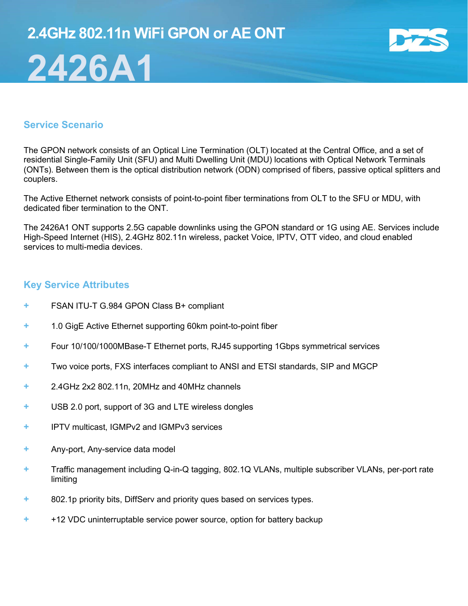## 2.4GHz 802.11n WiFi GPON or AE ONT 2426A1



#### Service Scenario

The GPON network consists of an Optical Line Termination (OLT) located at the Central Office, and a set of residential Single-Family Unit (SFU) and Multi Dwelling Unit (MDU) locations with Optical Network Terminals (ONTs). Between them is the optical distribution network (ODN) comprised of fibers, passive optical splitters and couplers.

The Active Ethernet network consists of point-to-point fiber terminations from OLT to the SFU or MDU, with dedicated fiber termination to the ONT.

The 2426A1 ONT supports 2.5G capable downlinks using the GPON standard or 1G using AE. Services include High-Speed Internet (HIS), 2.4GHz 802.11n wireless, packet Voice, IPTV, OTT video, and cloud enabled services to multi-media devices.

#### Key Service Attributes

- + FSAN ITU-T G.984 GPON Class B+ compliant
- + 1.0 GigE Active Ethernet supporting 60km point-to-point fiber
- + Four 10/100/1000MBase-T Ethernet ports, RJ45 supporting 1Gbps symmetrical services
- + Two voice ports, FXS interfaces compliant to ANSI and ETSI standards, SIP and MGCP
- + 2.4GHz 2x2 802.11n, 20MHz and 40MHz channels
- + USB 2.0 port, support of 3G and LTE wireless dongles
- + IPTV multicast, IGMPv2 and IGMPv3 services
- + Any-port, Any-service data model
- + Traffic management including Q-in-Q tagging, 802.1Q VLANs, multiple subscriber VLANs, per-port rate limiting
- + 802.1p priority bits, DiffServ and priority ques based on services types.
- + +12 VDC uninterruptable service power source, option for battery backup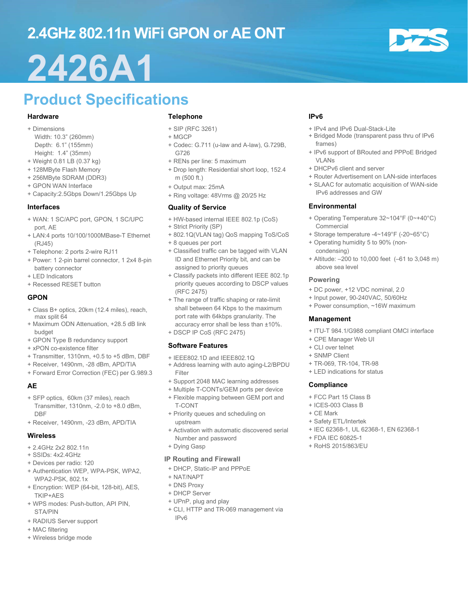## 2.4GHz 802.11n WiFi GPON or AE ONT

## 2426A1

## Product Specifications

#### Hardware

- + Dimensions
- Width: 10.3" (260mm) Depth: 6.1" (155mm)
- Height: 1.4" (35mm)
- + Weight 0.81 LB (0.37 kg)
- + 128MByte Flash Memory
- + 256MByte SDRAM (DDR3)
- + GPON WAN Interface
- + Capacity:2.5Gbps Down/1.25Gbps Up

#### Interfaces

- + WAN: 1 SC/APC port, GPON, 1 SC/UPC port, AE
- + LAN:4 ports 10/100/1000MBase-T Ethernet (RJ45)
- + Telephone: 2 ports 2-wire RJ11
- + Power: 1 2-pin barrel connector, 1 2x4 8-pin battery connector + LED Indicators
- + Recessed RESET button

#### GPON

- + Class B+ optics, 20km (12.4 miles), reach, max split 64
- + Maximum ODN Attenuation, +28.5 dB link budget
- + GPON Type B redundancy support
- + xPON co-existence filter
- + Transmitter, 1310nm, +0.5 to +5 dBm, DBF
- + Receiver, 1490nm, -28 dBm, APD/TIA
- + Forward Error Correction (FEC) per G.989.3

#### AE

- + SFP optics, 60km (37 miles), reach Transmitter, 1310nm, -2.0 to +8.0 dBm, DBF
- + Receiver, 1490nm, -23 dBm, APD/TIA

#### **Wireless**

- + 2.4GHz 2x2 802.11n
- + SSIDs: 4x2.4GHz
- + Devices per radio: 120
- + Authentication WEP, WPA-PSK, WPA2, WPA2-PSK, 802.1x
- + Encryption: WEP (64-bit, 128-bit), AES, TKIP+AES
- + WPS modes: Push-button, API PIN, STA/PIN
- + RADIUS Server support
- + MAC filtering
- + Wireless bridge mode

#### Telephone

- + SIP (RFC 3261)
- + MGCP
- + Codec: G.711 (u-law and A-law), G.729B, G726
- + RENs per line: 5 maximum
- + Drop length: Residential short loop, 152.4 m (500 ft.)
- + Output max: 25mA
- + Ring voltage: 48Vrms @ 20/25 Hz

#### Quality of Service

- + HW-based internal IEEE 802.1p (CoS)
- + Strict Priority (SP)
- + 802.1Q(VLAN tag) QoS mapping ToS/CoS
- + 8 queues per port
- + Classified traffic can be tagged with VLAN ID and Ethernet Priority bit, and can be assigned to priority queues
- + Classify packets into different IEEE 802.1p priority queues according to DSCP values (RFC 2475)
- + The range of traffic shaping or rate-limit shall between 64 Kbps to the maximum port rate with 64kbps granularity. The accuracy error shall be less than ±10%.
- + DSCP IP CoS (RFC 2475)

#### Software Features

- + IEEE802.1D and IEEE802.1Q
- + Address learning with auto aging-L2/BPDU Filter
- + Support 2048 MAC learning addresses
- + Multiple T-CONTs/GEM ports per device
- + Flexible mapping between GEM port and T-CONT
- + Priority queues and scheduling on upstream
- + Activation with automatic discovered serial Number and password
- + Dying Gasp

#### IP Routing and Firewall

- + DHCP, Static-IP and PPPoE
- + NAT/NAPT
- + DNS Proxy
- + DHCP Server
- + UPnP, plug and play
- + CLI, HTTP and TR-069 management via IPv6

#### IPv6

- + IPv4 and IPv6 Dual-Stack-Lite
- + Bridged Mode (transparent pass thru of IPv6 frames)
- + IPv6 support of BRouted and PPPoE Bridged VLANs
- + DHCPv6 client and server
- + Router Advertisement on LAN-side interfaces
- + SLAAC for automatic acquisition of WAN-side IPv6 addresses and GW

#### Environmental

- + Operating Temperature 32~104°F (0~+40°C) Commercial
- + Storage temperature -4~149°F (-20~65°C)
- + Operating humidity 5 to 90% (noncondensing)
- + Altitude: –200 to 10,000 feet (–61 to 3,048 m) above sea level

#### Powering

- + DC power, +12 VDC nominal, 2.0
- + Input power, 90-240VAC, 50/60Hz
- + Power consumption, ~16W maximum

#### Management

- + ITU-T 984.1/G988 compliant OMCI interface
- + CPE Manager Web UI
- + CLI over telnet
- + SNMP Client
- + TR-069, TR-104, TR-98
- + LED indications for status

#### **Compliance**

- + FCC Part 15 Class B
- + ICES-003 Class B
- + CE Mark
- + Safety ETL/Intertek + IEC 62368-1, UL 62368-1, EN 62368-1

+ FDA IEC 60825-1 + RoHS 2015/863/EU